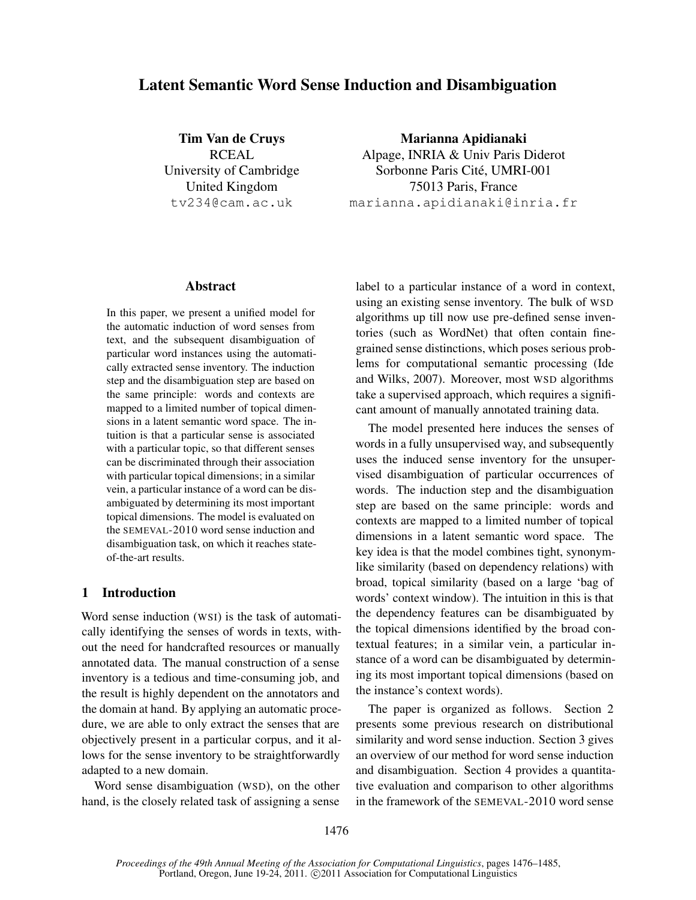# Latent Semantic Word Sense Induction and Disambiguation

Tim Van de Cruys RCEAL University of Cambridge United Kingdom tv234@cam.ac.uk

Marianna Apidianaki Alpage, INRIA & Univ Paris Diderot Sorbonne Paris Cité, UMRI-001 75013 Paris, France marianna.apidianaki@inria.fr

#### Abstract

In this paper, we present a unified model for the automatic induction of word senses from text, and the subsequent disambiguation of particular word instances using the automatically extracted sense inventory. The induction step and the disambiguation step are based on the same principle: words and contexts are mapped to a limited number of topical dimensions in a latent semantic word space. The intuition is that a particular sense is associated with a particular topic, so that different senses can be discriminated through their association with particular topical dimensions; in a similar vein, a particular instance of a word can be disambiguated by determining its most important topical dimensions. The model is evaluated on the SEMEVAL-2010 word sense induction and disambiguation task, on which it reaches stateof-the-art results.

# 1 Introduction

Word sense induction (WSI) is the task of automatically identifying the senses of words in texts, without the need for handcrafted resources or manually annotated data. The manual construction of a sense inventory is a tedious and time-consuming job, and the result is highly dependent on the annotators and the domain at hand. By applying an automatic procedure, we are able to only extract the senses that are objectively present in a particular corpus, and it allows for the sense inventory to be straightforwardly adapted to a new domain.

Word sense disambiguation (WSD), on the other hand, is the closely related task of assigning a sense label to a particular instance of a word in context, using an existing sense inventory. The bulk of WSD algorithms up till now use pre-defined sense inventories (such as WordNet) that often contain finegrained sense distinctions, which poses serious problems for computational semantic processing (Ide and Wilks, 2007). Moreover, most WSD algorithms take a supervised approach, which requires a significant amount of manually annotated training data.

The model presented here induces the senses of words in a fully unsupervised way, and subsequently uses the induced sense inventory for the unsupervised disambiguation of particular occurrences of words. The induction step and the disambiguation step are based on the same principle: words and contexts are mapped to a limited number of topical dimensions in a latent semantic word space. The key idea is that the model combines tight, synonymlike similarity (based on dependency relations) with broad, topical similarity (based on a large 'bag of words' context window). The intuition in this is that the dependency features can be disambiguated by the topical dimensions identified by the broad contextual features; in a similar vein, a particular instance of a word can be disambiguated by determining its most important topical dimensions (based on the instance's context words).

The paper is organized as follows. Section 2 presents some previous research on distributional similarity and word sense induction. Section 3 gives an overview of our method for word sense induction and disambiguation. Section 4 provides a quantitative evaluation and comparison to other algorithms in the framework of the SEMEVAL-2010 word sense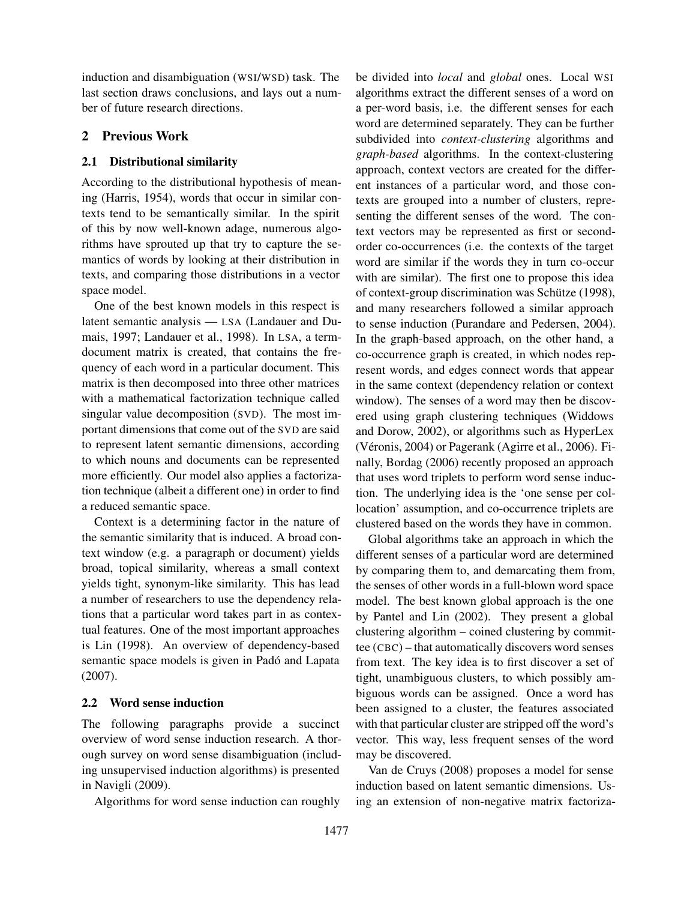induction and disambiguation (WSI/WSD) task. The last section draws conclusions, and lays out a number of future research directions.

# 2 Previous Work

### 2.1 Distributional similarity

According to the distributional hypothesis of meaning (Harris, 1954), words that occur in similar contexts tend to be semantically similar. In the spirit of this by now well-known adage, numerous algorithms have sprouted up that try to capture the semantics of words by looking at their distribution in texts, and comparing those distributions in a vector space model.

One of the best known models in this respect is latent semantic analysis — LSA (Landauer and Dumais, 1997; Landauer et al., 1998). In LSA, a termdocument matrix is created, that contains the frequency of each word in a particular document. This matrix is then decomposed into three other matrices with a mathematical factorization technique called singular value decomposition (SVD). The most important dimensions that come out of the SVD are said to represent latent semantic dimensions, according to which nouns and documents can be represented more efficiently. Our model also applies a factorization technique (albeit a different one) in order to find a reduced semantic space.

Context is a determining factor in the nature of the semantic similarity that is induced. A broad context window (e.g. a paragraph or document) yields broad, topical similarity, whereas a small context yields tight, synonym-like similarity. This has lead a number of researchers to use the dependency relations that a particular word takes part in as contextual features. One of the most important approaches is Lin (1998). An overview of dependency-based semantic space models is given in Padó and Lapata (2007).

### 2.2 Word sense induction

The following paragraphs provide a succinct overview of word sense induction research. A thorough survey on word sense disambiguation (including unsupervised induction algorithms) is presented in Navigli (2009).

Algorithms for word sense induction can roughly

be divided into *local* and *global* ones. Local WSI algorithms extract the different senses of a word on a per-word basis, i.e. the different senses for each word are determined separately. They can be further subdivided into *context-clustering* algorithms and *graph-based* algorithms. In the context-clustering approach, context vectors are created for the different instances of a particular word, and those contexts are grouped into a number of clusters, representing the different senses of the word. The context vectors may be represented as first or secondorder co-occurrences (i.e. the contexts of the target word are similar if the words they in turn co-occur with are similar). The first one to propose this idea of context-group discrimination was Schütze (1998), and many researchers followed a similar approach to sense induction (Purandare and Pedersen, 2004). In the graph-based approach, on the other hand, a co-occurrence graph is created, in which nodes represent words, and edges connect words that appear in the same context (dependency relation or context window). The senses of a word may then be discovered using graph clustering techniques (Widdows and Dorow, 2002), or algorithms such as HyperLex (Véronis, 2004) or Pagerank (Agirre et al., 2006). Finally, Bordag (2006) recently proposed an approach that uses word triplets to perform word sense induction. The underlying idea is the 'one sense per collocation' assumption, and co-occurrence triplets are clustered based on the words they have in common.

Global algorithms take an approach in which the different senses of a particular word are determined by comparing them to, and demarcating them from, the senses of other words in a full-blown word space model. The best known global approach is the one by Pantel and Lin (2002). They present a global clustering algorithm – coined clustering by committee (CBC) – that automatically discovers word senses from text. The key idea is to first discover a set of tight, unambiguous clusters, to which possibly ambiguous words can be assigned. Once a word has been assigned to a cluster, the features associated with that particular cluster are stripped off the word's vector. This way, less frequent senses of the word may be discovered.

Van de Cruys (2008) proposes a model for sense induction based on latent semantic dimensions. Using an extension of non-negative matrix factoriza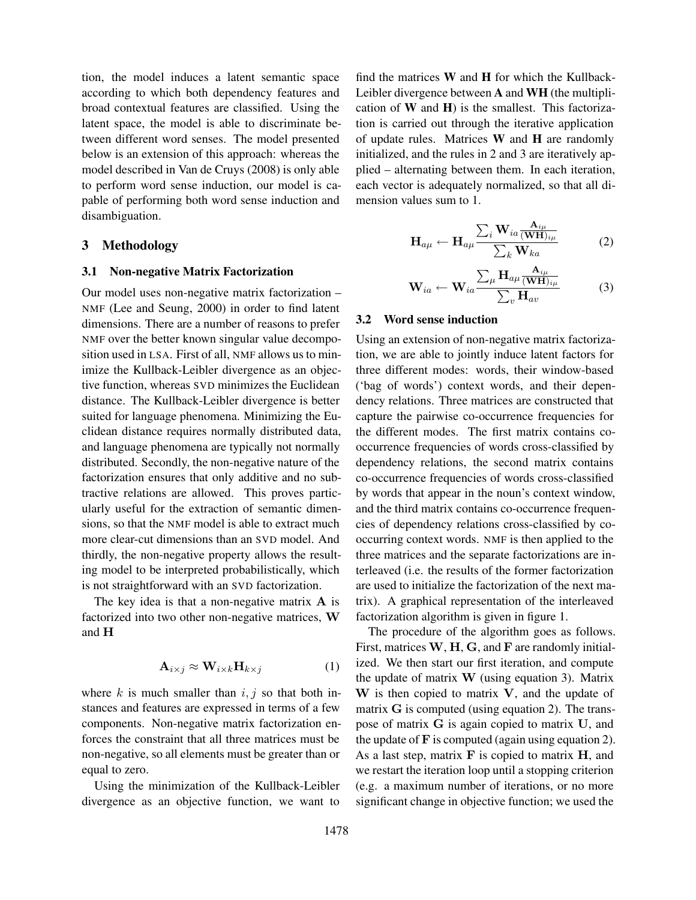tion, the model induces a latent semantic space according to which both dependency features and broad contextual features are classified. Using the latent space, the model is able to discriminate between different word senses. The model presented below is an extension of this approach: whereas the model described in Van de Cruys (2008) is only able to perform word sense induction, our model is capable of performing both word sense induction and disambiguation.

### 3 Methodology

#### 3.1 Non-negative Matrix Factorization

Our model uses non-negative matrix factorization – NMF (Lee and Seung, 2000) in order to find latent dimensions. There are a number of reasons to prefer NMF over the better known singular value decomposition used in LSA. First of all, NMF allows us to minimize the Kullback-Leibler divergence as an objective function, whereas SVD minimizes the Euclidean distance. The Kullback-Leibler divergence is better suited for language phenomena. Minimizing the Euclidean distance requires normally distributed data, and language phenomena are typically not normally distributed. Secondly, the non-negative nature of the factorization ensures that only additive and no subtractive relations are allowed. This proves particularly useful for the extraction of semantic dimensions, so that the NMF model is able to extract much more clear-cut dimensions than an SVD model. And thirdly, the non-negative property allows the resulting model to be interpreted probabilistically, which is not straightforward with an SVD factorization.

The key idea is that a non-negative matrix  $A$  is factorized into two other non-negative matrices, W and H

$$
\mathbf{A}_{i \times j} \approx \mathbf{W}_{i \times k} \mathbf{H}_{k \times j} \tag{1}
$$

where  $k$  is much smaller than  $i, j$  so that both instances and features are expressed in terms of a few components. Non-negative matrix factorization enforces the constraint that all three matrices must be non-negative, so all elements must be greater than or equal to zero.

Using the minimization of the Kullback-Leibler divergence as an objective function, we want to

find the matrices  $W$  and  $H$  for which the Kullback-Leibler divergence between A and WH (the multiplication of  $W$  and  $H$ ) is the smallest. This factorization is carried out through the iterative application of update rules. Matrices W and H are randomly initialized, and the rules in 2 and 3 are iteratively applied – alternating between them. In each iteration, each vector is adequately normalized, so that all dimension values sum to 1.

$$
\mathbf{H}_{a\mu} \leftarrow \mathbf{H}_{a\mu} \frac{\sum_{i} \mathbf{W}_{ia} \frac{\mathbf{A}_{i\mu}}{(\mathbf{WH})_{i\mu}}}{\sum_{k} \mathbf{W}_{ka}}
$$
(2)

$$
\mathbf{W}_{ia} \leftarrow \mathbf{W}_{ia} \frac{\sum_{\mu} \mathbf{H}_{a\mu} \frac{\mathbf{A}_{i\mu}}{(\mathbf{WH})_{i\mu}}}{\sum_{v} \mathbf{H}_{av}}
$$
(3)

#### 3.2 Word sense induction

Using an extension of non-negative matrix factorization, we are able to jointly induce latent factors for three different modes: words, their window-based ('bag of words') context words, and their dependency relations. Three matrices are constructed that capture the pairwise co-occurrence frequencies for the different modes. The first matrix contains cooccurrence frequencies of words cross-classified by dependency relations, the second matrix contains co-occurrence frequencies of words cross-classified by words that appear in the noun's context window, and the third matrix contains co-occurrence frequencies of dependency relations cross-classified by cooccurring context words. NMF is then applied to the three matrices and the separate factorizations are interleaved (i.e. the results of the former factorization are used to initialize the factorization of the next matrix). A graphical representation of the interleaved factorization algorithm is given in figure 1.

The procedure of the algorithm goes as follows. First, matrices  $W$ ,  $H$ ,  $G$ , and  $F$  are randomly initialized. We then start our first iteration, and compute the update of matrix  $W$  (using equation 3). Matrix  $W$  is then copied to matrix  $V$ , and the update of matrix G is computed (using equation 2). The transpose of matrix G is again copied to matrix U, and the update of  $\bf{F}$  is computed (again using equation 2). As a last step, matrix  $\bf{F}$  is copied to matrix  $\bf{H}$ , and we restart the iteration loop until a stopping criterion (e.g. a maximum number of iterations, or no more significant change in objective function; we used the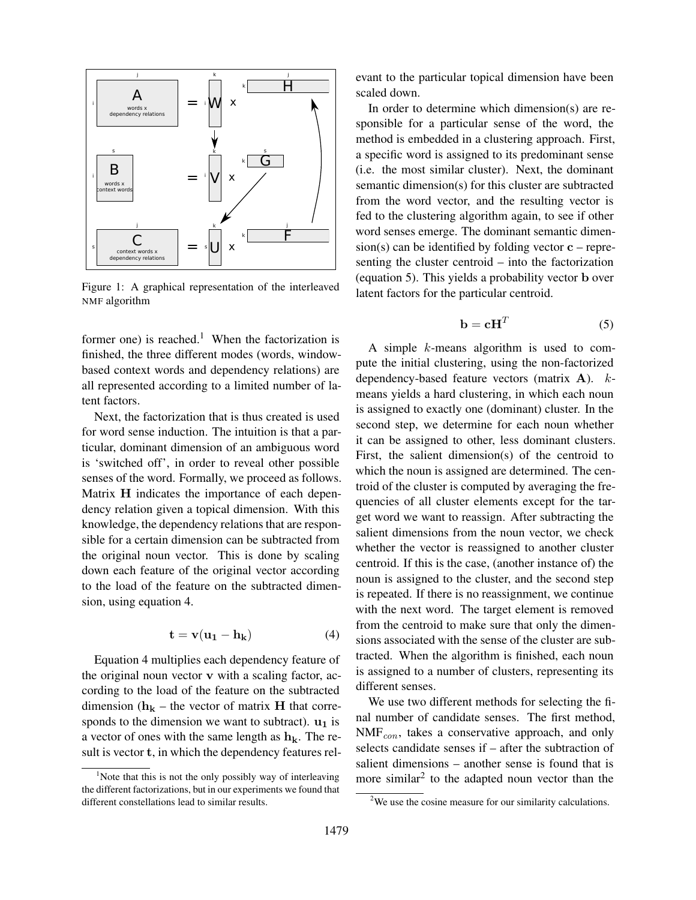

Figure 1: A graphical representation of the interleaved NMF algorithm

former one) is reached.<sup>1</sup> When the factorization is finished, the three different modes (words, windowbased context words and dependency relations) are all represented according to a limited number of latent factors.

Next, the factorization that is thus created is used for word sense induction. The intuition is that a particular, dominant dimension of an ambiguous word is 'switched off', in order to reveal other possible senses of the word. Formally, we proceed as follows. Matrix H indicates the importance of each dependency relation given a topical dimension. With this knowledge, the dependency relations that are responsible for a certain dimension can be subtracted from the original noun vector. This is done by scaling down each feature of the original vector according to the load of the feature on the subtracted dimension, using equation 4.

$$
\mathbf{t} = \mathbf{v}(\mathbf{u}_1 - \mathbf{h}_k) \tag{4}
$$

Equation 4 multiplies each dependency feature of the original noun vector v with a scaling factor, according to the load of the feature on the subtracted dimension ( $h_k$  – the vector of matrix H that corresponds to the dimension we want to subtract).  $\mathbf{u}_1$  is a vector of ones with the same length as  $h_k$ . The result is vector t, in which the dependency features relevant to the particular topical dimension have been scaled down.

In order to determine which dimension(s) are responsible for a particular sense of the word, the method is embedded in a clustering approach. First, a specific word is assigned to its predominant sense (i.e. the most similar cluster). Next, the dominant semantic dimension(s) for this cluster are subtracted from the word vector, and the resulting vector is fed to the clustering algorithm again, to see if other word senses emerge. The dominant semantic dimen $sion(s)$  can be identified by folding vector  $c$  – representing the cluster centroid – into the factorization (equation 5). This yields a probability vector b over latent factors for the particular centroid.

$$
\mathbf{b} = \mathbf{c} \mathbf{H}^T \tag{5}
$$

A simple k-means algorithm is used to compute the initial clustering, using the non-factorized dependency-based feature vectors (matrix A). kmeans yields a hard clustering, in which each noun is assigned to exactly one (dominant) cluster. In the second step, we determine for each noun whether it can be assigned to other, less dominant clusters. First, the salient dimension(s) of the centroid to which the noun is assigned are determined. The centroid of the cluster is computed by averaging the frequencies of all cluster elements except for the target word we want to reassign. After subtracting the salient dimensions from the noun vector, we check whether the vector is reassigned to another cluster centroid. If this is the case, (another instance of) the noun is assigned to the cluster, and the second step is repeated. If there is no reassignment, we continue with the next word. The target element is removed from the centroid to make sure that only the dimensions associated with the sense of the cluster are subtracted. When the algorithm is finished, each noun is assigned to a number of clusters, representing its different senses.

We use two different methods for selecting the final number of candidate senses. The first method,  $NMF_{con}$ , takes a conservative approach, and only selects candidate senses if – after the subtraction of salient dimensions – another sense is found that is more similar<sup>2</sup> to the adapted noun vector than the

<sup>&</sup>lt;sup>1</sup>Note that this is not the only possibly way of interleaving the different factorizations, but in our experiments we found that different constellations lead to similar results.

<sup>2</sup>We use the cosine measure for our similarity calculations.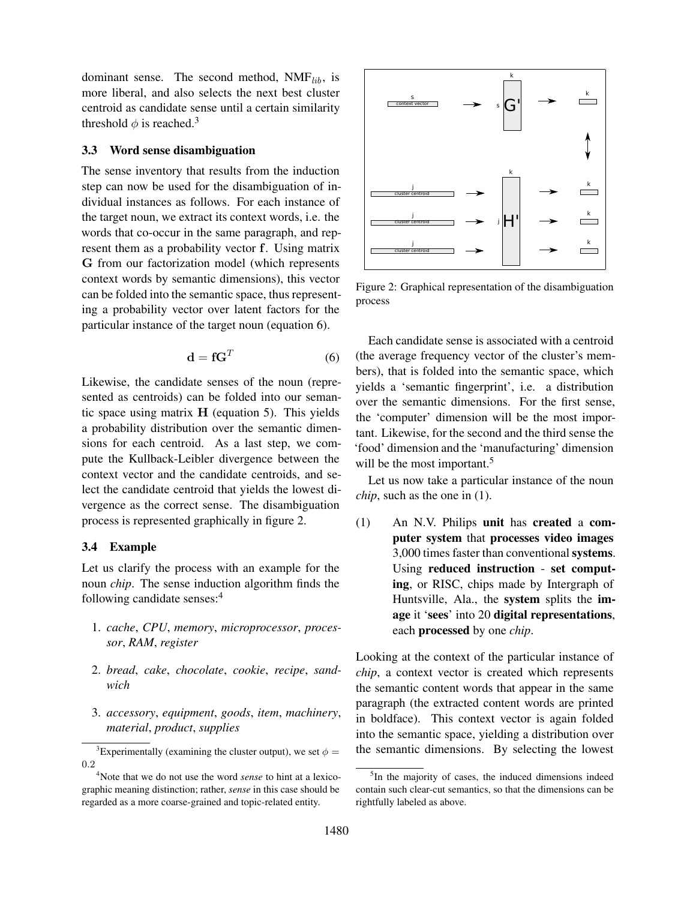dominant sense. The second method,  $NMF_{lib}$ , is more liberal, and also selects the next best cluster centroid as candidate sense until a certain similarity threshold  $\phi$  is reached.<sup>3</sup>

# 3.3 Word sense disambiguation

The sense inventory that results from the induction step can now be used for the disambiguation of individual instances as follows. For each instance of the target noun, we extract its context words, i.e. the words that co-occur in the same paragraph, and represent them as a probability vector f. Using matrix G from our factorization model (which represents context words by semantic dimensions), this vector can be folded into the semantic space, thus representing a probability vector over latent factors for the particular instance of the target noun (equation 6).

$$
\mathbf{d} = \mathbf{f} \mathbf{G}^T \tag{6}
$$

Likewise, the candidate senses of the noun (represented as centroids) can be folded into our semantic space using matrix  $H$  (equation 5). This yields a probability distribution over the semantic dimensions for each centroid. As a last step, we compute the Kullback-Leibler divergence between the context vector and the candidate centroids, and select the candidate centroid that yields the lowest divergence as the correct sense. The disambiguation process is represented graphically in figure 2.

# 3.4 Example

Let us clarify the process with an example for the noun *chip*. The sense induction algorithm finds the following candidate senses:<sup>4</sup>

- 1. *cache*, *CPU*, *memory*, *microprocessor*, *processor*, *RAM*, *register*
- 2. *bread*, *cake*, *chocolate*, *cookie*, *recipe*, *sandwich*
- 3. *accessory*, *equipment*, *goods*, *item*, *machinery*, *material*, *product*, *supplies*



Figure 2: Graphical representation of the disambiguation process

Each candidate sense is associated with a centroid (the average frequency vector of the cluster's members), that is folded into the semantic space, which yields a 'semantic fingerprint', i.e. a distribution over the semantic dimensions. For the first sense, the 'computer' dimension will be the most important. Likewise, for the second and the third sense the 'food' dimension and the 'manufacturing' dimension will be the most important.<sup>5</sup>

Let us now take a particular instance of the noun *chip*, such as the one in (1).

(1) An N.V. Philips unit has created a computer system that processes video images 3,000 times faster than conventional systems. Using reduced instruction - set computing, or RISC, chips made by Intergraph of Huntsville, Ala., the system splits the image it 'sees' into 20 digital representations, each processed by one *chip*.

Looking at the context of the particular instance of *chip*, a context vector is created which represents the semantic content words that appear in the same paragraph (the extracted content words are printed in boldface). This context vector is again folded into the semantic space, yielding a distribution over the semantic dimensions. By selecting the lowest

<sup>&</sup>lt;sup>3</sup>Experimentally (examining the cluster output), we set  $\phi =$ 0.2

<sup>4</sup>Note that we do not use the word *sense* to hint at a lexicographic meaning distinction; rather, *sense* in this case should be regarded as a more coarse-grained and topic-related entity.

<sup>&</sup>lt;sup>5</sup>In the majority of cases, the induced dimensions indeed contain such clear-cut semantics, so that the dimensions can be rightfully labeled as above.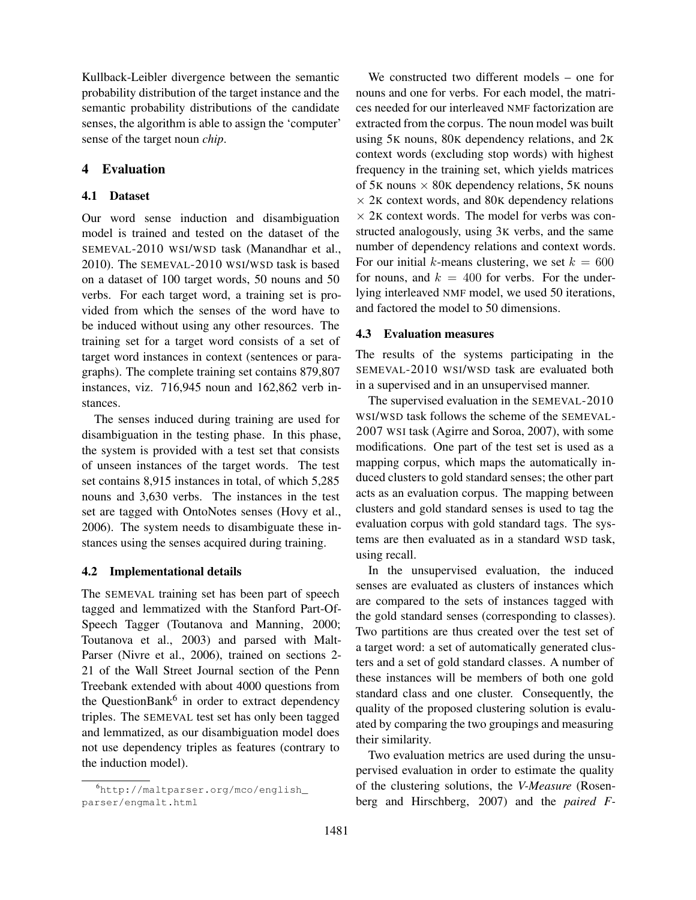Kullback-Leibler divergence between the semantic probability distribution of the target instance and the semantic probability distributions of the candidate senses, the algorithm is able to assign the 'computer' sense of the target noun *chip*.

# 4 Evaluation

### 4.1 Dataset

Our word sense induction and disambiguation model is trained and tested on the dataset of the SEMEVAL-2010 WSI/WSD task (Manandhar et al., 2010). The SEMEVAL-2010 WSI/WSD task is based on a dataset of 100 target words, 50 nouns and 50 verbs. For each target word, a training set is provided from which the senses of the word have to be induced without using any other resources. The training set for a target word consists of a set of target word instances in context (sentences or paragraphs). The complete training set contains 879,807 instances, viz. 716,945 noun and 162,862 verb instances.

The senses induced during training are used for disambiguation in the testing phase. In this phase, the system is provided with a test set that consists of unseen instances of the target words. The test set contains 8,915 instances in total, of which 5,285 nouns and 3,630 verbs. The instances in the test set are tagged with OntoNotes senses (Hovy et al., 2006). The system needs to disambiguate these instances using the senses acquired during training.

#### 4.2 Implementational details

The SEMEVAL training set has been part of speech tagged and lemmatized with the Stanford Part-Of-Speech Tagger (Toutanova and Manning, 2000; Toutanova et al., 2003) and parsed with Malt-Parser (Nivre et al., 2006), trained on sections 2- 21 of the Wall Street Journal section of the Penn Treebank extended with about 4000 questions from the QuestionBank<sup>6</sup> in order to extract dependency triples. The SEMEVAL test set has only been tagged and lemmatized, as our disambiguation model does not use dependency triples as features (contrary to the induction model).

We constructed two different models – one for nouns and one for verbs. For each model, the matrices needed for our interleaved NMF factorization are extracted from the corpus. The noun model was built using 5K nouns, 80K dependency relations, and 2K context words (excluding stop words) with highest frequency in the training set, which yields matrices of 5K nouns  $\times$  80K dependency relations, 5K nouns  $\times$  2K context words, and 80K dependency relations  $\times$  2K context words. The model for verbs was constructed analogously, using 3K verbs, and the same number of dependency relations and context words. For our initial k-means clustering, we set  $k = 600$ for nouns, and  $k = 400$  for verbs. For the underlying interleaved NMF model, we used 50 iterations, and factored the model to 50 dimensions.

### 4.3 Evaluation measures

The results of the systems participating in the SEMEVAL-2010 WSI/WSD task are evaluated both in a supervised and in an unsupervised manner.

The supervised evaluation in the SEMEVAL-2010 WSI/WSD task follows the scheme of the SEMEVAL-2007 WSI task (Agirre and Soroa, 2007), with some modifications. One part of the test set is used as a mapping corpus, which maps the automatically induced clusters to gold standard senses; the other part acts as an evaluation corpus. The mapping between clusters and gold standard senses is used to tag the evaluation corpus with gold standard tags. The systems are then evaluated as in a standard WSD task, using recall.

In the unsupervised evaluation, the induced senses are evaluated as clusters of instances which are compared to the sets of instances tagged with the gold standard senses (corresponding to classes). Two partitions are thus created over the test set of a target word: a set of automatically generated clusters and a set of gold standard classes. A number of these instances will be members of both one gold standard class and one cluster. Consequently, the quality of the proposed clustering solution is evaluated by comparing the two groupings and measuring their similarity.

Two evaluation metrics are used during the unsupervised evaluation in order to estimate the quality of the clustering solutions, the *V-Measure* (Rosenberg and Hirschberg, 2007) and the *paired F-*

<sup>6</sup>http://maltparser.org/mco/english\_ parser/engmalt.html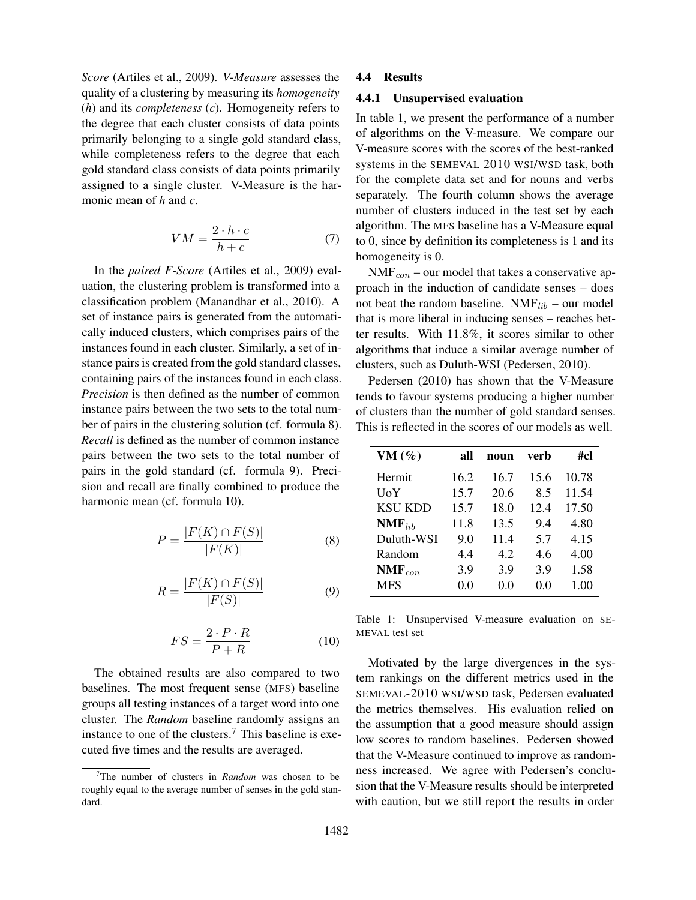*Score* (Artiles et al., 2009). *V-Measure* assesses the quality of a clustering by measuring its *homogeneity* (*h*) and its *completeness* (*c*). Homogeneity refers to the degree that each cluster consists of data points primarily belonging to a single gold standard class, while completeness refers to the degree that each gold standard class consists of data points primarily assigned to a single cluster. V-Measure is the harmonic mean of *h* and *c*.

$$
VM = \frac{2 \cdot h \cdot c}{h + c} \tag{7}
$$

In the *paired F-Score* (Artiles et al., 2009) evaluation, the clustering problem is transformed into a classification problem (Manandhar et al., 2010). A set of instance pairs is generated from the automatically induced clusters, which comprises pairs of the instances found in each cluster. Similarly, a set of instance pairs is created from the gold standard classes, containing pairs of the instances found in each class. *Precision* is then defined as the number of common instance pairs between the two sets to the total number of pairs in the clustering solution (cf. formula 8). *Recall* is defined as the number of common instance pairs between the two sets to the total number of pairs in the gold standard (cf. formula 9). Precision and recall are finally combined to produce the harmonic mean (cf. formula 10).

$$
P = \frac{|F(K) \cap F(S)|}{|F(K)|} \tag{8}
$$

$$
R = \frac{|F(K) \cap F(S)|}{|F(S)|} \tag{9}
$$

$$
FS = \frac{2 \cdot P \cdot R}{P + R} \tag{10}
$$

The obtained results are also compared to two baselines. The most frequent sense (MFS) baseline groups all testing instances of a target word into one cluster. The *Random* baseline randomly assigns an instance to one of the clusters.<sup>7</sup> This baseline is executed five times and the results are averaged.

#### 4.4 Results

#### 4.4.1 Unsupervised evaluation

In table 1, we present the performance of a number of algorithms on the V-measure. We compare our V-measure scores with the scores of the best-ranked systems in the SEMEVAL 2010 WSI/WSD task, both for the complete data set and for nouns and verbs separately. The fourth column shows the average number of clusters induced in the test set by each algorithm. The MFS baseline has a V-Measure equal to 0, since by definition its completeness is 1 and its homogeneity is 0.

 $NMF<sub>con</sub>$  – our model that takes a conservative approach in the induction of candidate senses – does not beat the random baseline.  $NMF_{lib}$  – our model that is more liberal in inducing senses – reaches better results. With 11.8%, it scores similar to other algorithms that induce a similar average number of clusters, such as Duluth-WSI (Pedersen, 2010).

Pedersen (2010) has shown that the V-Measure tends to favour systems producing a higher number of clusters than the number of gold standard senses. This is reflected in the scores of our models as well.

| VM $(\%)$            | all  | noun | verb | #cl   |
|----------------------|------|------|------|-------|
| Hermit               | 16.2 | 16.7 | 15.6 | 10.78 |
| UoY                  | 15.7 | 20.6 | 8.5  | 11.54 |
| KSU KDD              | 15.7 | 18.0 | 12.4 | 17.50 |
| $NMF$ <sub>lib</sub> | 11.8 | 13.5 | 9.4  | 4.80  |
| Duluth-WSI           | 9.0  | 11.4 | 5.7  | 4.15  |
| Random               | 4.4  | 4.2  | 4.6  | 4.00  |
| $NMF_{con}$          | 3.9  | 3.9  | 3.9  | 1.58  |
| <b>MFS</b>           | 0.0  | 0.0  | 0.0  | 1.00  |

Table 1: Unsupervised V-measure evaluation on SE-MEVAL test set

Motivated by the large divergences in the system rankings on the different metrics used in the SEMEVAL-2010 WSI/WSD task, Pedersen evaluated the metrics themselves. His evaluation relied on the assumption that a good measure should assign low scores to random baselines. Pedersen showed that the V-Measure continued to improve as randomness increased. We agree with Pedersen's conclusion that the V-Measure results should be interpreted with caution, but we still report the results in order

<sup>7</sup>The number of clusters in *Random* was chosen to be roughly equal to the average number of senses in the gold standard.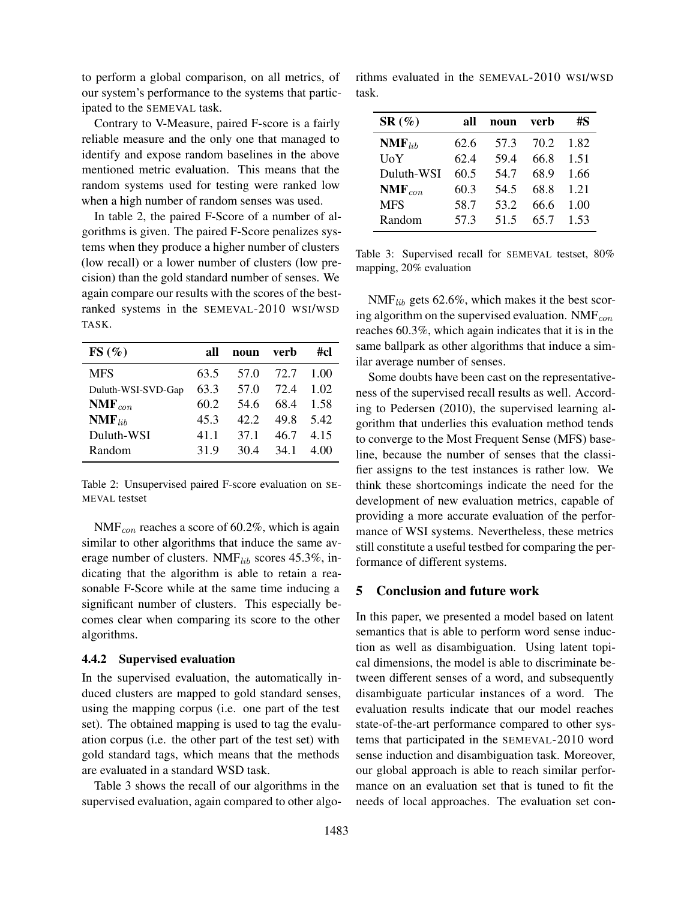to perform a global comparison, on all metrics, of our system's performance to the systems that participated to the SEMEVAL task.

Contrary to V-Measure, paired F-score is a fairly reliable measure and the only one that managed to identify and expose random baselines in the above mentioned metric evaluation. This means that the random systems used for testing were ranked low when a high number of random senses was used.

In table 2, the paired F-Score of a number of algorithms is given. The paired F-Score penalizes systems when they produce a higher number of clusters (low recall) or a lower number of clusters (low precision) than the gold standard number of senses. We again compare our results with the scores of the bestranked systems in the SEMEVAL-2010 WSI/WSD TASK.

| FS(%)                | all  | noun | verb | #cl  |
|----------------------|------|------|------|------|
| <b>MFS</b>           | 63.5 | 57.0 | 72.7 | 1.00 |
| Duluth-WSI-SVD-Gap   | 63.3 | 57.0 | 72.4 | 1.02 |
| $NMF_{con}$          | 60.2 | 54.6 | 68.4 | 1.58 |
| $\mathbf{NMF}_{lib}$ | 45.3 | 42.2 | 49.8 | 5.42 |
| Duluth-WSI           | 41.1 | 37.1 | 46.7 | 4.15 |
| Random               | 31.9 | 30.4 | 34.1 | 4.00 |

Table 2: Unsupervised paired F-score evaluation on SE-MEVAL testset

 $NMF_{con}$  reaches a score of 60.2%, which is again similar to other algorithms that induce the same average number of clusters. NMF $_{lib}$  scores 45.3%, indicating that the algorithm is able to retain a reasonable F-Score while at the same time inducing a significant number of clusters. This especially becomes clear when comparing its score to the other algorithms.

#### 4.4.2 Supervised evaluation

In the supervised evaluation, the automatically induced clusters are mapped to gold standard senses, using the mapping corpus (i.e. one part of the test set). The obtained mapping is used to tag the evaluation corpus (i.e. the other part of the test set) with gold standard tags, which means that the methods are evaluated in a standard WSD task.

Table 3 shows the recall of our algorithms in the supervised evaluation, again compared to other algo-

rithms evaluated in the SEMEVAL-2010 WSI/WSD task.

| $SR(\%)$    | all  | noun | verb | #S   |
|-------------|------|------|------|------|
| $NMF_{lib}$ | 62.6 | 57.3 | 70.2 | 1.82 |
| UoY         | 62.4 | 59.4 | 66.8 | 1.51 |
| Duluth-WSI  | 60.5 | 54.7 | 68.9 | 1.66 |
| $NMF_{con}$ | 60.3 | 54.5 | 68.8 | 1.21 |
| <b>MFS</b>  | 58.7 | 53.2 | 66.6 | 1.00 |
| Random      | 57.3 | 51.5 | 65.7 | 1.53 |

Table 3: Supervised recall for SEMEVAL testset, 80% mapping, 20% evaluation

 $NMF_{lib}$  gets 62.6%, which makes it the best scoring algorithm on the supervised evaluation. NMF $_{con}$ reaches 60.3%, which again indicates that it is in the same ballpark as other algorithms that induce a similar average number of senses.

Some doubts have been cast on the representativeness of the supervised recall results as well. According to Pedersen (2010), the supervised learning algorithm that underlies this evaluation method tends to converge to the Most Frequent Sense (MFS) baseline, because the number of senses that the classifier assigns to the test instances is rather low. We think these shortcomings indicate the need for the development of new evaluation metrics, capable of providing a more accurate evaluation of the performance of WSI systems. Nevertheless, these metrics still constitute a useful testbed for comparing the performance of different systems.

### 5 Conclusion and future work

In this paper, we presented a model based on latent semantics that is able to perform word sense induction as well as disambiguation. Using latent topical dimensions, the model is able to discriminate between different senses of a word, and subsequently disambiguate particular instances of a word. The evaluation results indicate that our model reaches state-of-the-art performance compared to other systems that participated in the SEMEVAL-2010 word sense induction and disambiguation task. Moreover, our global approach is able to reach similar performance on an evaluation set that is tuned to fit the needs of local approaches. The evaluation set con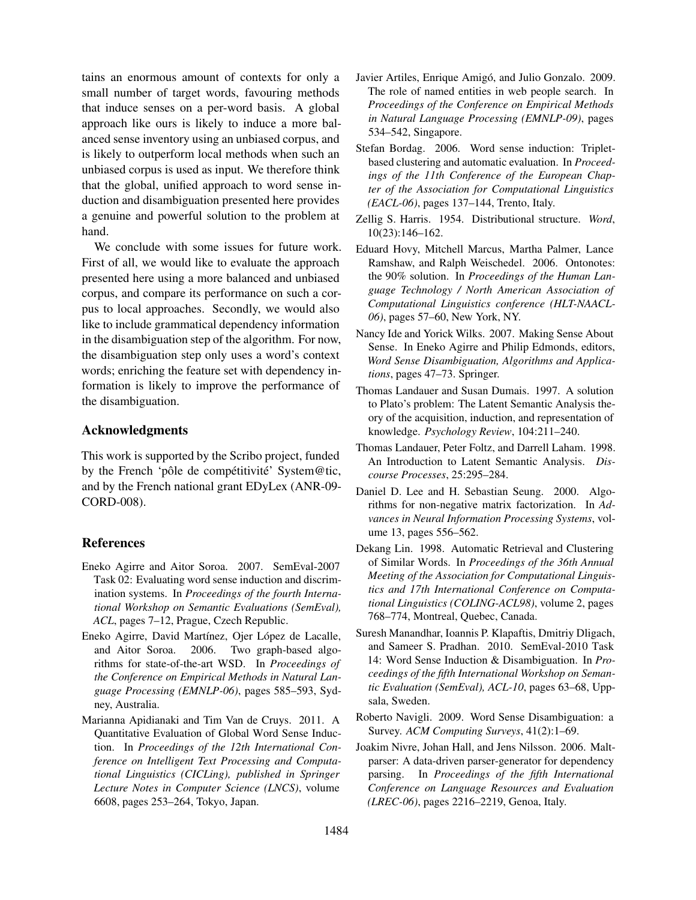tains an enormous amount of contexts for only a small number of target words, favouring methods that induce senses on a per-word basis. A global approach like ours is likely to induce a more balanced sense inventory using an unbiased corpus, and is likely to outperform local methods when such an unbiased corpus is used as input. We therefore think that the global, unified approach to word sense induction and disambiguation presented here provides a genuine and powerful solution to the problem at hand.

We conclude with some issues for future work. First of all, we would like to evaluate the approach presented here using a more balanced and unbiased corpus, and compare its performance on such a corpus to local approaches. Secondly, we would also like to include grammatical dependency information in the disambiguation step of the algorithm. For now, the disambiguation step only uses a word's context words; enriching the feature set with dependency information is likely to improve the performance of the disambiguation.

# Acknowledgments

This work is supported by the Scribo project, funded by the French 'pôle de compétitivité' System@tic, and by the French national grant EDyLex (ANR-09- CORD-008).

# References

- Eneko Agirre and Aitor Soroa. 2007. SemEval-2007 Task 02: Evaluating word sense induction and discrimination systems. In *Proceedings of the fourth International Workshop on Semantic Evaluations (SemEval), ACL*, pages 7–12, Prague, Czech Republic.
- Eneko Agirre, David Martínez, Ojer López de Lacalle, and Aitor Soroa. 2006. Two graph-based algorithms for state-of-the-art WSD. In *Proceedings of the Conference on Empirical Methods in Natural Language Processing (EMNLP-06)*, pages 585–593, Sydney, Australia.
- Marianna Apidianaki and Tim Van de Cruys. 2011. A Quantitative Evaluation of Global Word Sense Induction. In *Proceedings of the 12th International Conference on Intelligent Text Processing and Computational Linguistics (CICLing), published in Springer Lecture Notes in Computer Science (LNCS)*, volume 6608, pages 253–264, Tokyo, Japan.
- Javier Artiles, Enrique Amigó, and Julio Gonzalo. 2009. The role of named entities in web people search. In *Proceedings of the Conference on Empirical Methods in Natural Language Processing (EMNLP-09)*, pages 534–542, Singapore.
- Stefan Bordag. 2006. Word sense induction: Tripletbased clustering and automatic evaluation. In *Proceedings of the 11th Conference of the European Chapter of the Association for Computational Linguistics (EACL-06)*, pages 137–144, Trento, Italy.
- Zellig S. Harris. 1954. Distributional structure. *Word*, 10(23):146–162.
- Eduard Hovy, Mitchell Marcus, Martha Palmer, Lance Ramshaw, and Ralph Weischedel. 2006. Ontonotes: the 90% solution. In *Proceedings of the Human Language Technology / North American Association of Computational Linguistics conference (HLT-NAACL-06)*, pages 57–60, New York, NY.
- Nancy Ide and Yorick Wilks. 2007. Making Sense About Sense. In Eneko Agirre and Philip Edmonds, editors, *Word Sense Disambiguation, Algorithms and Applications*, pages 47–73. Springer.
- Thomas Landauer and Susan Dumais. 1997. A solution to Plato's problem: The Latent Semantic Analysis theory of the acquisition, induction, and representation of knowledge. *Psychology Review*, 104:211–240.
- Thomas Landauer, Peter Foltz, and Darrell Laham. 1998. An Introduction to Latent Semantic Analysis. *Discourse Processes*, 25:295–284.
- Daniel D. Lee and H. Sebastian Seung. 2000. Algorithms for non-negative matrix factorization. In *Advances in Neural Information Processing Systems*, volume 13, pages 556–562.
- Dekang Lin. 1998. Automatic Retrieval and Clustering of Similar Words. In *Proceedings of the 36th Annual Meeting of the Association for Computational Linguistics and 17th International Conference on Computational Linguistics (COLING-ACL98)*, volume 2, pages 768–774, Montreal, Quebec, Canada.
- Suresh Manandhar, Ioannis P. Klapaftis, Dmitriy Dligach, and Sameer S. Pradhan. 2010. SemEval-2010 Task 14: Word Sense Induction & Disambiguation. In *Proceedings of the fifth International Workshop on Semantic Evaluation (SemEval), ACL-10*, pages 63–68, Uppsala, Sweden.
- Roberto Navigli. 2009. Word Sense Disambiguation: a Survey. *ACM Computing Surveys*, 41(2):1–69.
- Joakim Nivre, Johan Hall, and Jens Nilsson. 2006. Maltparser: A data-driven parser-generator for dependency parsing. In *Proceedings of the fifth International Conference on Language Resources and Evaluation (LREC-06)*, pages 2216–2219, Genoa, Italy.